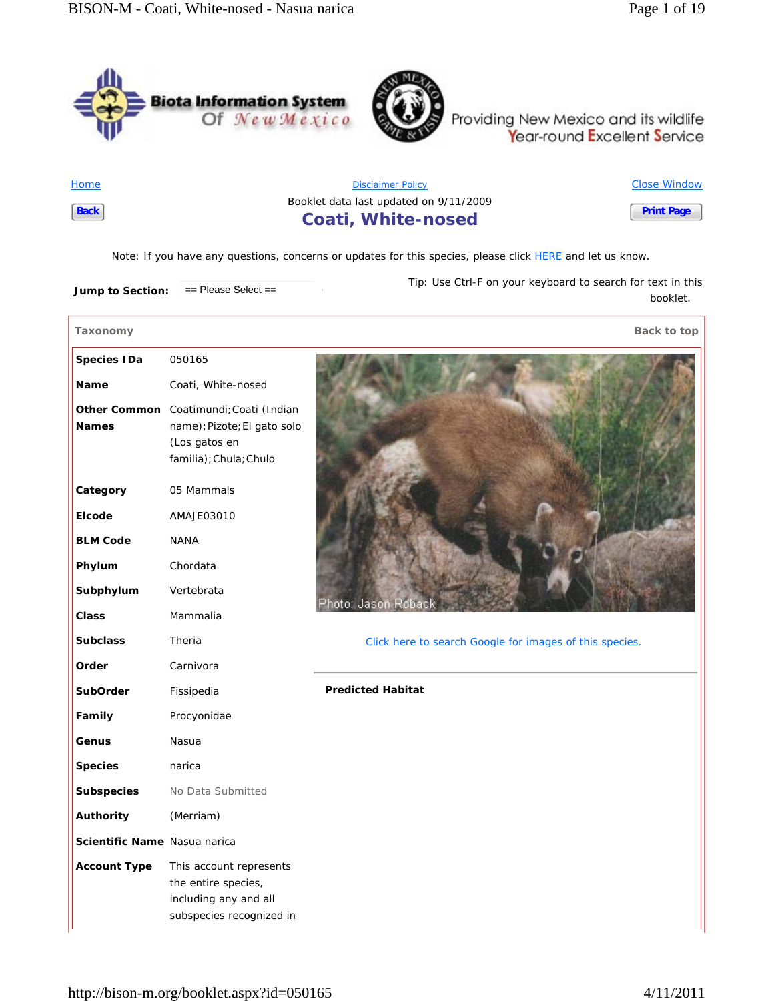



Providing New Mexico and its wildlife<br>Year-round Excellent Service

**Home Back**

ſ

Disclaimer Policy Booklet data last updated on 9/11/2009 **Coati, White-nosed** Close Window **Print Page**

*Note*: If you have any questions, concerns or updates for this species, please click HERE and let us know.

**Jump to Section:**  $=$  Please Select == *Tip*: Use Ctrl-F on your keyboard to search for text in this booklet.

| Taxonomy                     |                                                                                                     | Back to top                                             |
|------------------------------|-----------------------------------------------------------------------------------------------------|---------------------------------------------------------|
| <b>Species IDa</b>           | 050165                                                                                              |                                                         |
| <b>Name</b>                  | Coati, White-nosed                                                                                  |                                                         |
| <b>Other Common</b>          | Coatimundi; Coati (Indian                                                                           |                                                         |
| <b>Names</b>                 | name); Pizote; El gato solo                                                                         |                                                         |
|                              | (Los gatos en                                                                                       |                                                         |
|                              | familia); Chula; Chulo                                                                              |                                                         |
| Category                     | 05 Mammals                                                                                          |                                                         |
| Elcode                       | AMAJE03010                                                                                          |                                                         |
| <b>BLM Code</b>              | <b>NANA</b>                                                                                         |                                                         |
| Phylum                       | Chordata                                                                                            |                                                         |
| Subphylum                    | Vertebrata                                                                                          | Photo: Jason Robac                                      |
| <b>Class</b>                 | Mammalia                                                                                            |                                                         |
| <b>Subclass</b>              | Theria                                                                                              | Click here to search Google for images of this species. |
| Order                        | Carnivora                                                                                           |                                                         |
| <b>SubOrder</b>              | Fissipedia                                                                                          | <b>Predicted Habitat</b>                                |
| Family                       | Procyonidae                                                                                         |                                                         |
| Genus                        | Nasua                                                                                               |                                                         |
| <b>Species</b>               | narica                                                                                              |                                                         |
| <b>Subspecies</b>            | No Data Submitted                                                                                   |                                                         |
| Authority                    | (Merriam)                                                                                           |                                                         |
| Scientific Name Nasua narica |                                                                                                     |                                                         |
| <b>Account Type</b>          | This account represents<br>the entire species,<br>including any and all<br>subspecies recognized in |                                                         |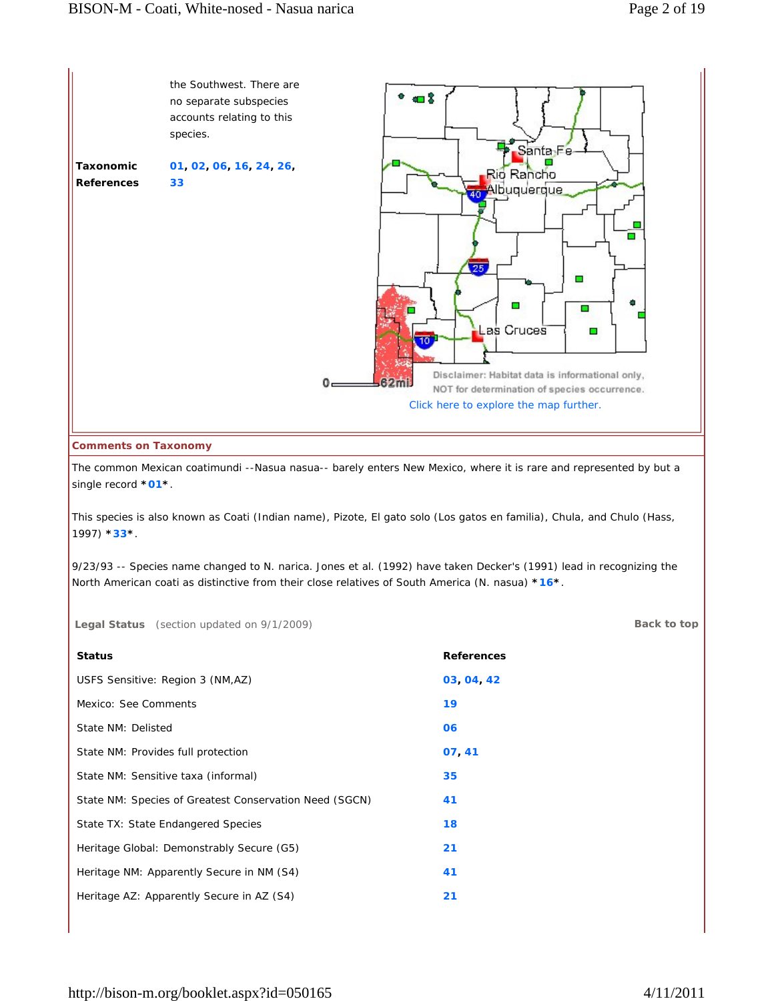

#### **Comments on Taxonomy**

The common Mexican coatimundi --Nasua nasua-- barely enters New Mexico, where it is rare and represented by but a single record **\*01\***.

This species is also known as Coati (Indian name), Pizote, El gato solo (Los gatos en familia), Chula, and Chulo (Hass, 1997) **\*33\***.

9/23/93 -- Species name changed to N. narica. Jones et al. (1992) have taken Decker's (1991) lead in recognizing the North American coati as distinctive from their close relatives of South America (N. nasua) **\*16\***.

**Legal Status** (section updated on 9/1/2009) **Back to top**

| <b>Status</b>                                          | <b>References</b> |
|--------------------------------------------------------|-------------------|
| USFS Sensitive: Region 3 (NM,AZ)                       | 03 04 42          |
| Mexico: See Comments                                   | 19                |
| State NM: Delisted                                     | 06                |
| State NM: Provides full protection                     | 07,41             |
| State NM: Sensitive taxa (informal)                    | 35                |
| State NM: Species of Greatest Conservation Need (SGCN) | 41                |
| State TX: State Endangered Species                     | 18                |
| Heritage Global: Demonstrably Secure (G5)              | 21                |
| Heritage NM: Apparently Secure in NM (S4)              | 41                |
| Heritage AZ: Apparently Secure in AZ (S4)              | 21                |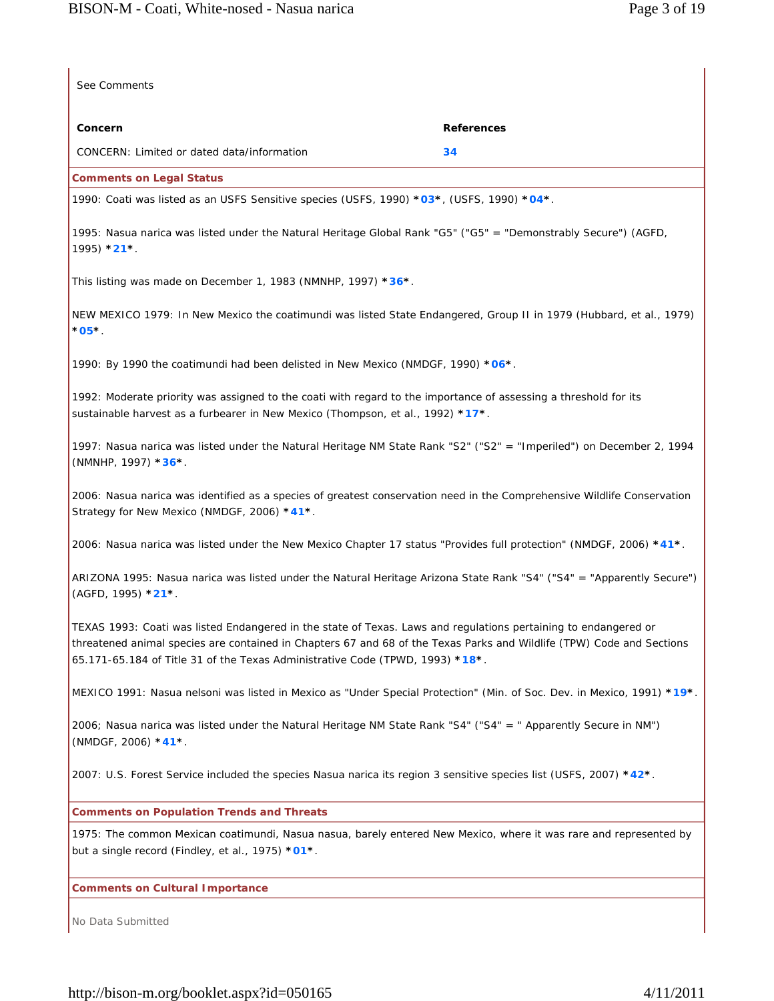| See Comments                                                                                                                                                                                                                                                                                                              |                   |
|---------------------------------------------------------------------------------------------------------------------------------------------------------------------------------------------------------------------------------------------------------------------------------------------------------------------------|-------------------|
| Concern                                                                                                                                                                                                                                                                                                                   | <b>References</b> |
| CONCERN: Limited or dated data/information                                                                                                                                                                                                                                                                                | 34                |
| <b>Comments on Legal Status</b>                                                                                                                                                                                                                                                                                           |                   |
| 1990: Coati was listed as an USFS Sensitive species (USFS, 1990) *03*, (USFS, 1990) *04*.                                                                                                                                                                                                                                 |                   |
| 1995: Nasua narica was listed under the Natural Heritage Global Rank "G5" ("G5" = "Demonstrably Secure") (AGFD,<br>$1995)$ *21*.                                                                                                                                                                                          |                   |
| This listing was made on December 1, 1983 (NMNHP, 1997) *36*.                                                                                                                                                                                                                                                             |                   |
| NEW MEXICO 1979: In New Mexico the coatimundi was listed State Endangered, Group II in 1979 (Hubbard, et al., 1979)<br>$*$ 05 $*$ .                                                                                                                                                                                       |                   |
| 1990: By 1990 the coatimundi had been delisted in New Mexico (NMDGF, 1990) *06*.                                                                                                                                                                                                                                          |                   |
| 1992: Moderate priority was assigned to the coati with regard to the importance of assessing a threshold for its<br>sustainable harvest as a furbearer in New Mexico (Thompson, et al., 1992) *17*.                                                                                                                       |                   |
| 1997: Nasua narica was listed under the Natural Heritage NM State Rank "S2" ("S2" = "Imperiled") on December 2, 1994<br>(NMNHP, 1997) *36*.                                                                                                                                                                               |                   |
| 2006: Nasua narica was identified as a species of greatest conservation need in the Comprehensive Wildlife Conservation<br>Strategy for New Mexico (NMDGF, 2006) *41*.                                                                                                                                                    |                   |
| 2006: Nasua narica was listed under the New Mexico Chapter 17 status "Provides full protection" (NMDGF, 2006) *41*.                                                                                                                                                                                                       |                   |
| ARIZONA 1995: Nasua narica was listed under the Natural Heritage Arizona State Rank "S4" ("S4" = "Apparently Secure")<br>(AGFD, 1995) *21*.                                                                                                                                                                               |                   |
| TEXAS 1993: Coati was listed Endangered in the state of Texas. Laws and regulations pertaining to endangered or<br>threatened animal species are contained in Chapters 67 and 68 of the Texas Parks and Wildlife (TPW) Code and Sections<br>65.171-65.184 of Title 31 of the Texas Administrative Code (TPWD, 1993) *18*. |                   |
| MEXICO 1991: Nasua nelsoni was listed in Mexico as "Under Special Protection" (Min. of Soc. Dev. in Mexico, 1991) *19*.                                                                                                                                                                                                   |                   |
| 2006; Nasua narica was listed under the Natural Heritage NM State Rank "S4" ("S4" = " Apparently Secure in NM")<br>(NMDGF, 2006) *41*.                                                                                                                                                                                    |                   |
| 2007: U.S. Forest Service included the species Nasua narica its region 3 sensitive species list (USFS, 2007) *42*.                                                                                                                                                                                                        |                   |
| <b>Comments on Population Trends and Threats</b>                                                                                                                                                                                                                                                                          |                   |
| 1975: The common Mexican coatimundi, Nasua nasua, barely entered New Mexico, where it was rare and represented by<br>but a single record (Findley, et al., 1975) *01*.                                                                                                                                                    |                   |
| <b>Comments on Cultural Importance</b>                                                                                                                                                                                                                                                                                    |                   |

No Data Submitted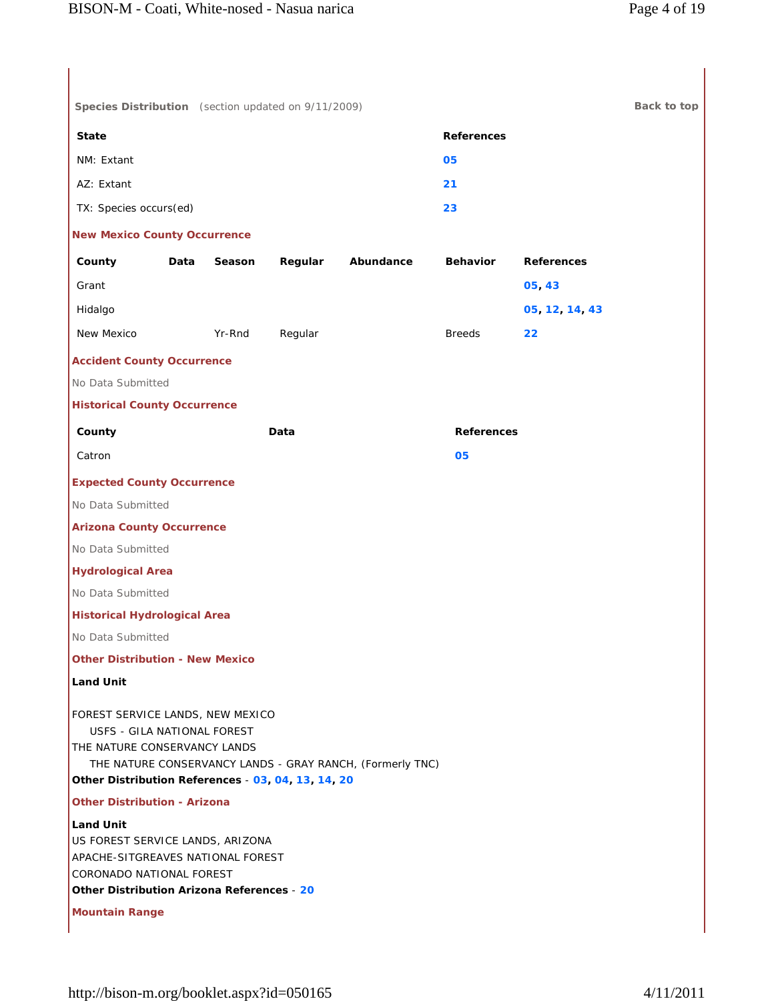| Species Distribution (section updated on 9/11/2009)                                                                                                                 |      |        |         |                                                           |                   |                   | Back to top |
|---------------------------------------------------------------------------------------------------------------------------------------------------------------------|------|--------|---------|-----------------------------------------------------------|-------------------|-------------------|-------------|
| <b>State</b>                                                                                                                                                        |      |        |         |                                                           | <b>References</b> |                   |             |
| NM: Extant                                                                                                                                                          |      |        |         |                                                           | 05                |                   |             |
| AZ: Extant                                                                                                                                                          |      |        |         |                                                           | 21                |                   |             |
| TX: Species occurs(ed)                                                                                                                                              |      |        |         |                                                           | 23                |                   |             |
| <b>New Mexico County Occurrence</b>                                                                                                                                 |      |        |         |                                                           |                   |                   |             |
| County                                                                                                                                                              | Data | Season | Regular | Abundance                                                 | <b>Behavior</b>   | <b>References</b> |             |
| Grant                                                                                                                                                               |      |        |         |                                                           |                   | 05,43             |             |
| Hidalgo                                                                                                                                                             |      |        |         |                                                           |                   | 05, 12, 14, 43    |             |
| New Mexico                                                                                                                                                          |      | Yr-Rnd | Regular |                                                           | <b>Breeds</b>     | 22                |             |
| <b>Accident County Occurrence</b>                                                                                                                                   |      |        |         |                                                           |                   |                   |             |
| No Data Submitted                                                                                                                                                   |      |        |         |                                                           |                   |                   |             |
| <b>Historical County Occurrence</b>                                                                                                                                 |      |        |         |                                                           |                   |                   |             |
| County                                                                                                                                                              |      |        | Data    |                                                           | <b>References</b> |                   |             |
| Catron                                                                                                                                                              |      |        |         |                                                           | 05                |                   |             |
| <b>Expected County Occurrence</b>                                                                                                                                   |      |        |         |                                                           |                   |                   |             |
| No Data Submitted                                                                                                                                                   |      |        |         |                                                           |                   |                   |             |
| <b>Arizona County Occurrence</b>                                                                                                                                    |      |        |         |                                                           |                   |                   |             |
| No Data Submitted                                                                                                                                                   |      |        |         |                                                           |                   |                   |             |
| <b>Hydrological Area</b>                                                                                                                                            |      |        |         |                                                           |                   |                   |             |
| No Data Submitted                                                                                                                                                   |      |        |         |                                                           |                   |                   |             |
| <b>Historical Hydrological Area</b>                                                                                                                                 |      |        |         |                                                           |                   |                   |             |
| No Data Submitted                                                                                                                                                   |      |        |         |                                                           |                   |                   |             |
| <b>Other Distribution - New Mexico</b>                                                                                                                              |      |        |         |                                                           |                   |                   |             |
| <b>Land Unit</b>                                                                                                                                                    |      |        |         |                                                           |                   |                   |             |
| FOREST SERVICE LANDS, NEW MEXICO<br>USFS - GILA NATIONAL FOREST<br>THE NATURE CONSERVANCY LANDS<br>Other Distribution References - 03, 04, 13, 14, 20               |      |        |         | THE NATURE CONSERVANCY LANDS - GRAY RANCH, (Formerly TNC) |                   |                   |             |
| <b>Other Distribution - Arizona</b>                                                                                                                                 |      |        |         |                                                           |                   |                   |             |
| <b>Land Unit</b><br>US FOREST SERVICE LANDS, ARIZONA<br>APACHE-SITGREAVES NATIONAL FOREST<br>CORONADO NATIONAL FOREST<br>Other Distribution Arizona References - 20 |      |        |         |                                                           |                   |                   |             |
| <b>Mountain Range</b>                                                                                                                                               |      |        |         |                                                           |                   |                   |             |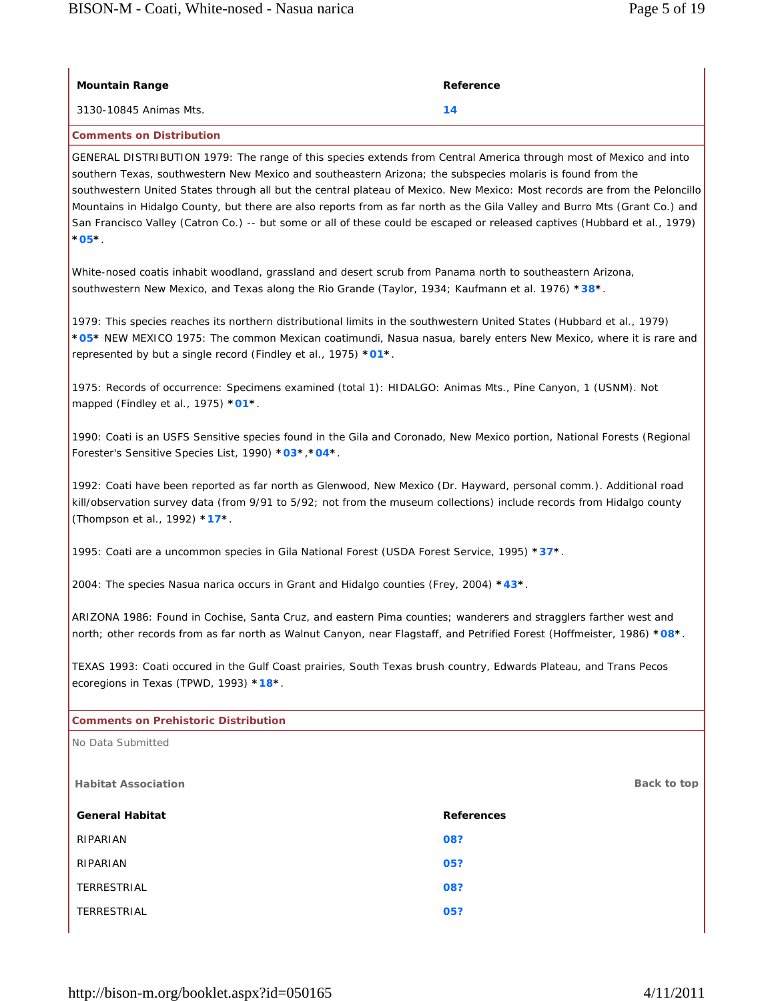| <b>Mountain Range</b>                                                                                                                                                                                                                                                        | Reference                                                                                                                                                                                                                                                                                                                                                                                                                                                                                                                                                                                                                 |  |  |
|------------------------------------------------------------------------------------------------------------------------------------------------------------------------------------------------------------------------------------------------------------------------------|---------------------------------------------------------------------------------------------------------------------------------------------------------------------------------------------------------------------------------------------------------------------------------------------------------------------------------------------------------------------------------------------------------------------------------------------------------------------------------------------------------------------------------------------------------------------------------------------------------------------------|--|--|
| 3130-10845 Animas Mts.                                                                                                                                                                                                                                                       | 14                                                                                                                                                                                                                                                                                                                                                                                                                                                                                                                                                                                                                        |  |  |
| <b>Comments on Distribution</b>                                                                                                                                                                                                                                              |                                                                                                                                                                                                                                                                                                                                                                                                                                                                                                                                                                                                                           |  |  |
| $^{\ast}$ 05 $^{\ast}$ .                                                                                                                                                                                                                                                     | GENERAL DISTRIBUTION 1979: The range of this species extends from Central America through most of Mexico and into<br>southern Texas, southwestern New Mexico and southeastern Arizona; the subspecies molaris is found from the<br>southwestern United States through all but the central plateau of Mexico. New Mexico: Most records are from the Peloncillo<br>Mountains in Hidalgo County, but there are also reports from as far north as the Gila Valley and Burro Mts (Grant Co.) and<br>San Francisco Valley (Catron Co.) -- but some or all of these could be escaped or released captives (Hubbard et al., 1979) |  |  |
|                                                                                                                                                                                                                                                                              | White-nosed coatis inhabit woodland, grassland and desert scrub from Panama north to southeastern Arizona,<br>southwestern New Mexico, and Texas along the Rio Grande (Taylor, 1934; Kaufmann et al. 1976) *38*.                                                                                                                                                                                                                                                                                                                                                                                                          |  |  |
| represented by but a single record (Findley et al., 1975) *01*.                                                                                                                                                                                                              | 1979: This species reaches its northern distributional limits in the southwestern United States (Hubbard et al., 1979)<br>*05* NEW MEXICO 1975: The common Mexican coatimundi, Nasua nasua, barely enters New Mexico, where it is rare and                                                                                                                                                                                                                                                                                                                                                                                |  |  |
| mapped (Findley et al., 1975) *01*.                                                                                                                                                                                                                                          | 1975: Records of occurrence: Specimens examined (total 1): HIDALGO: Animas Mts., Pine Canyon, 1 (USNM). Not                                                                                                                                                                                                                                                                                                                                                                                                                                                                                                               |  |  |
| Forester's Sensitive Species List, 1990) *03*, *04*.                                                                                                                                                                                                                         | 1990: Coati is an USFS Sensitive species found in the Gila and Coronado, New Mexico portion, National Forests (Regional                                                                                                                                                                                                                                                                                                                                                                                                                                                                                                   |  |  |
| 1992: Coati have been reported as far north as Glenwood, New Mexico (Dr. Hayward, personal comm.). Additional road<br>kill/observation survey data (from 9/91 to 5/92; not from the museum collections) include records from Hidalgo county<br>(Thompson et al., 1992) *17*. |                                                                                                                                                                                                                                                                                                                                                                                                                                                                                                                                                                                                                           |  |  |
| 1995: Coati are a uncommon species in Gila National Forest (USDA Forest Service, 1995) *37*.                                                                                                                                                                                 |                                                                                                                                                                                                                                                                                                                                                                                                                                                                                                                                                                                                                           |  |  |
| 2004: The species Nasua narica occurs in Grant and Hidalgo counties (Frey, 2004) *43*.                                                                                                                                                                                       |                                                                                                                                                                                                                                                                                                                                                                                                                                                                                                                                                                                                                           |  |  |
| ARIZONA 1986: Found in Cochise, Santa Cruz, and eastern Pima counties; wanderers and stragglers farther west and<br>north; other records from as far north as Walnut Canyon, near Flagstaff, and Petrified Forest (Hoffmeister, 1986) *08*.                                  |                                                                                                                                                                                                                                                                                                                                                                                                                                                                                                                                                                                                                           |  |  |
| TEXAS 1993: Coati occured in the Gulf Coast prairies, South Texas brush country, Edwards Plateau, and Trans Pecos<br>ecoregions in Texas (TPWD, 1993) *18*.                                                                                                                  |                                                                                                                                                                                                                                                                                                                                                                                                                                                                                                                                                                                                                           |  |  |
| <b>Comments on Prehistoric Distribution</b>                                                                                                                                                                                                                                  |                                                                                                                                                                                                                                                                                                                                                                                                                                                                                                                                                                                                                           |  |  |
| No Data Submitted                                                                                                                                                                                                                                                            |                                                                                                                                                                                                                                                                                                                                                                                                                                                                                                                                                                                                                           |  |  |
| <b>Habitat Association</b>                                                                                                                                                                                                                                                   | Back to top                                                                                                                                                                                                                                                                                                                                                                                                                                                                                                                                                                                                               |  |  |
| <b>General Habitat</b>                                                                                                                                                                                                                                                       | <b>References</b>                                                                                                                                                                                                                                                                                                                                                                                                                                                                                                                                                                                                         |  |  |
| RIPARIAN                                                                                                                                                                                                                                                                     | 08?                                                                                                                                                                                                                                                                                                                                                                                                                                                                                                                                                                                                                       |  |  |
| RIPARIAN                                                                                                                                                                                                                                                                     | 05?                                                                                                                                                                                                                                                                                                                                                                                                                                                                                                                                                                                                                       |  |  |
| TERRESTRIAL                                                                                                                                                                                                                                                                  | 08?                                                                                                                                                                                                                                                                                                                                                                                                                                                                                                                                                                                                                       |  |  |
|                                                                                                                                                                                                                                                                              | 05?                                                                                                                                                                                                                                                                                                                                                                                                                                                                                                                                                                                                                       |  |  |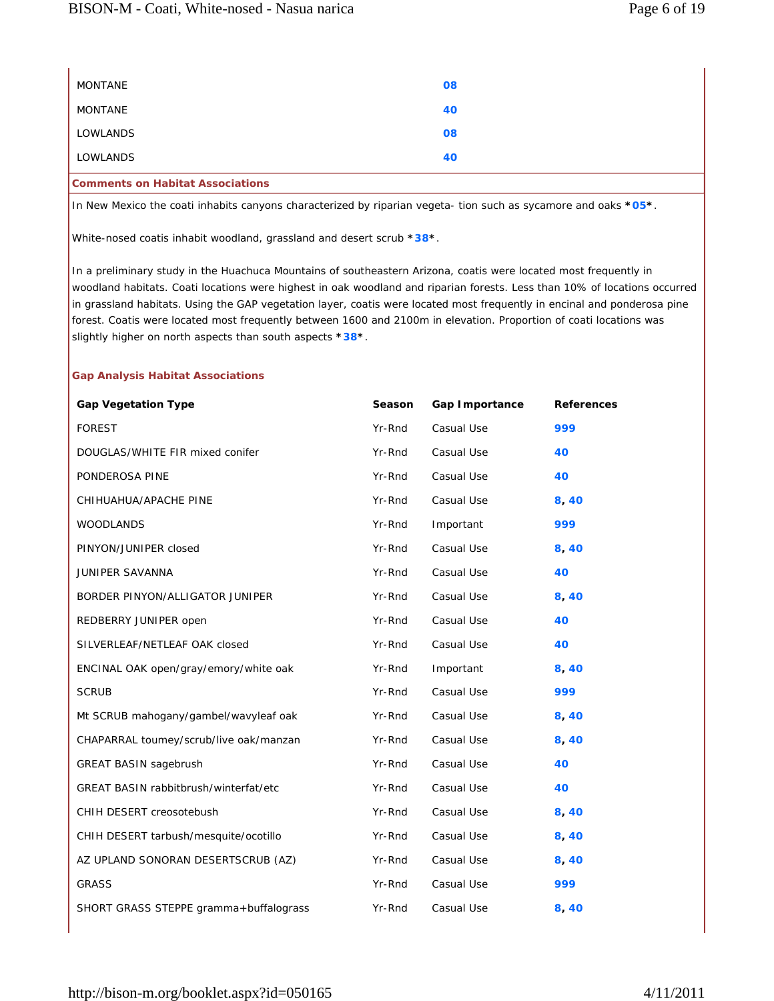| <b>Comments on Habitat Associations</b> |    |  |
|-----------------------------------------|----|--|
| LOWLANDS                                | 40 |  |
| LOWLANDS                                | 08 |  |
| MONTANE                                 | 40 |  |
| MONTANE                                 | 08 |  |
|                                         |    |  |

In New Mexico the coati inhabits canyons characterized by riparian vegeta- tion such as sycamore and oaks **\*05\***.

White-nosed coatis inhabit woodland, grassland and desert scrub **\*38\***.

In a preliminary study in the Huachuca Mountains of southeastern Arizona, coatis were located most frequently in woodland habitats. Coati locations were highest in oak woodland and riparian forests. Less than 10% of locations occurred in grassland habitats. Using the GAP vegetation layer, coatis were located most frequently in encinal and ponderosa pine forest. Coatis were located most frequently between 1600 and 2100m in elevation. Proportion of coati locations was slightly higher on north aspects than south aspects **\*38\***.

### **Gap Analysis Habitat Associations**

| <b>Gap Vegetation Type</b>                   | Season | Gap Importance | <b>References</b> |
|----------------------------------------------|--------|----------------|-------------------|
| <b>FOREST</b>                                | Yr-Rnd | Casual Use     | 999               |
| DOUGLAS/WHITE FIR mixed conifer              | Yr-Rnd | Casual Use     | 40                |
| PONDEROSA PINE                               | Yr-Rnd | Casual Use     | 40                |
| CHIHUAHUA/APACHE PINE                        | Yr-Rnd | Casual Use     | 8,40              |
| <b>WOODLANDS</b>                             | Yr-Rnd | Important      | 999               |
| PINYON/JUNIPER closed                        | Yr-Rnd | Casual Use     | 8,40              |
| JUNIPER SAVANNA                              | Yr-Rnd | Casual Use     | 40                |
| BORDER PINYON/ALLIGATOR JUNIPER              | Yr-Rnd | Casual Use     | 8,40              |
| REDBERRY JUNIPER open                        | Yr-Rnd | Casual Use     | 40                |
| SILVERLEAF/NETLEAF OAK closed                | Yr-Rnd | Casual Use     | 40                |
| ENCINAL OAK open/gray/emory/white oak        | Yr-Rnd | Important      | 8,40              |
| <b>SCRUB</b>                                 | Yr-Rnd | Casual Use     | 999               |
| Mt SCRUB mahogany/gambel/wavyleaf oak        | Yr-Rnd | Casual Use     | 8,40              |
| CHAPARRAL toumey/scrub/live oak/manzan       | Yr-Rnd | Casual Use     | 8,40              |
| <b>GREAT BASIN sagebrush</b>                 | Yr-Rnd | Casual Use     | 40                |
| <b>GREAT BASIN rabbitbrush/winterfat/etc</b> | Yr-Rnd | Casual Use     | 40                |
| CHIH DESERT creosotebush                     | Yr-Rnd | Casual Use     | 8,40              |
| CHIH DESERT tarbush/mesquite/ocotillo        | Yr-Rnd | Casual Use     | 8,40              |
| AZ UPLAND SONORAN DESERTSCRUB (AZ)           | Yr-Rnd | Casual Use     | 8,40              |
| <b>GRASS</b>                                 | Yr-Rnd | Casual Use     | 999               |
| SHORT GRASS STEPPE gramma+buffalograss       | Yr-Rnd | Casual Use     | 8,40              |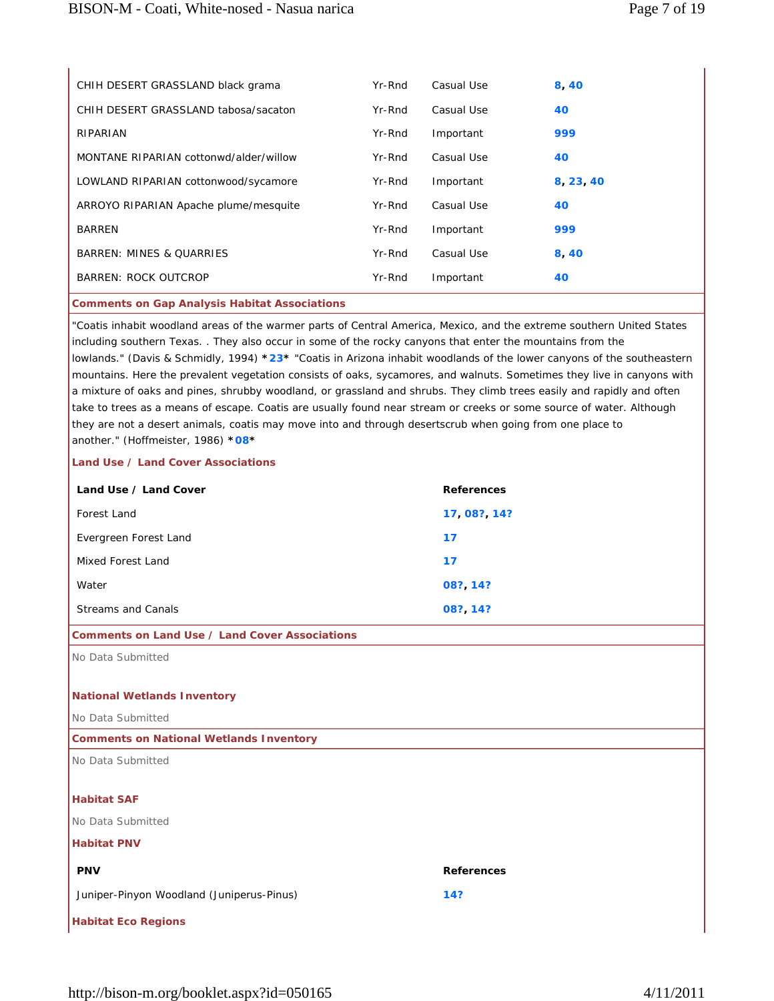| CHIH DESERT GRASSLAND black grama      | Yr-Rnd | Casual Use | 8,40      |
|----------------------------------------|--------|------------|-----------|
| CHIH DESERT GRASSLAND tabosa/sacaton   | Yr-Rnd | Casual Use | 40        |
| RIPARIAN                               | Yr-Rnd | Important  | 999       |
| MONTANE RIPARIAN cottonwd/alder/willow | Yr-Rnd | Casual Use | 40        |
| LOWLAND RIPARIAN cottonwood/sycamore   | Yr-Rnd | Important  | 8, 23, 40 |
| ARROYO RIPARIAN Apache plume/mesquite  | Yr-Rnd | Casual Use | 40        |
| <b>BARREN</b>                          | Yr-Rnd | Important  | 999       |
| <b>BARREN: MINES &amp; OUARRIES</b>    | Yr-Rnd | Casual Use | 8,40      |
| <b>BARREN: ROCK OUTCROP</b>            | Yr-Rnd | Important  | 40        |
|                                        |        |            |           |

### **Comments on Gap Analysis Habitat Associations**

"Coatis inhabit woodland areas of the warmer parts of Central America, Mexico, and the extreme southern United States including southern Texas. . They also occur in some of the rocky canyons that enter the mountains from the lowlands." (Davis & Schmidly, 1994) **\*23\*** "Coatis in Arizona inhabit woodlands of the lower canyons of the southeastern mountains. Here the prevalent vegetation consists of oaks, sycamores, and walnuts. Sometimes they live in canyons with a mixture of oaks and pines, shrubby woodland, or grassland and shrubs. They climb trees easily and rapidly and often take to trees as a means of escape. Coatis are usually found near stream or creeks or some source of water. Although they are not a desert animals, coatis may move into and through desertscrub when going from one place to another." (Hoffmeister, 1986) **\*08\***

#### **Land Use / Land Cover Associations**

| Land Use / Land Cover | <b>References</b> |
|-----------------------|-------------------|
| Forest Land           | 17 08? 14?        |
| Evergreen Forest Land | 17                |
| Mixed Forest Land     | 17                |
| Water                 | 08? 14?           |
| Streams and Canals    | 08? 14?           |

#### **Comments on Land Use / Land Cover Associations**

No Data Submitted

# **National Wetlands Inventory**

No Data Submitted

#### **Comments on National Wetlands Inventory**

No Data Submitted

# **Habitat SAF**

No Data Submitted

#### **Habitat PNV**

| <b>PNV</b>                                | <b>References</b> |
|-------------------------------------------|-------------------|
| Juniper-Pinyon Woodland (Juniperus-Pinus) | 14?               |
| <b>Habitat Eco Regions</b>                |                   |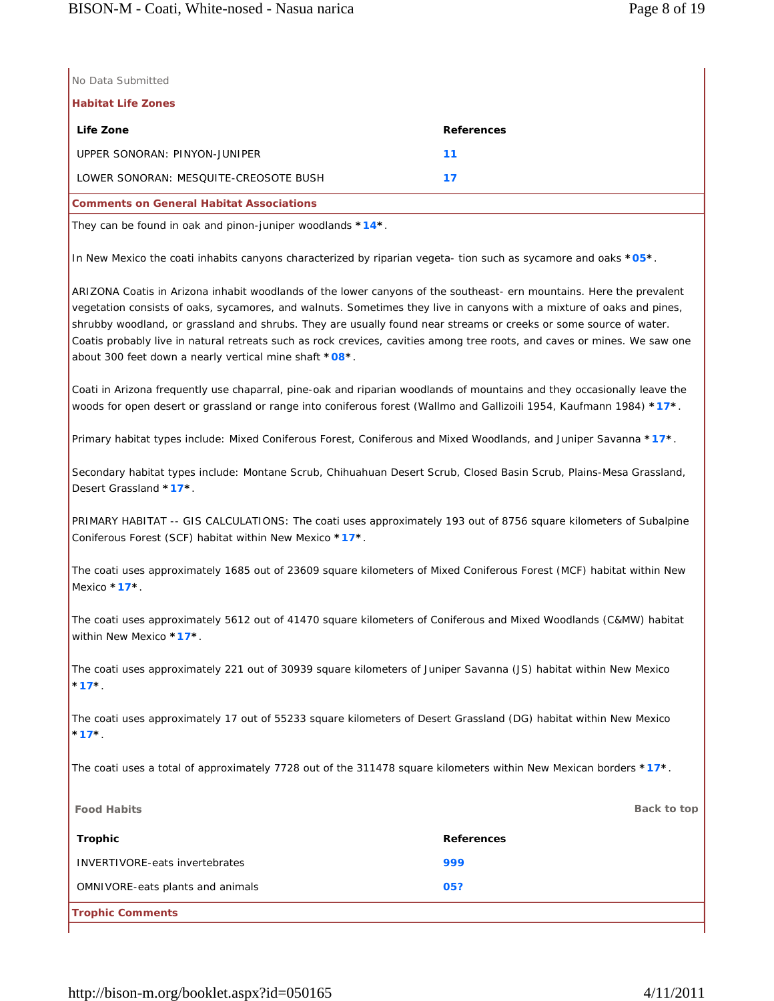|  | No Data Submitted |  |
|--|-------------------|--|
|  |                   |  |

**Habitat Life Zones**

| Life Zone                                       | <b>References</b> |
|-------------------------------------------------|-------------------|
| UPPER SONORAN: PINYON-JUNIPER                   | 11                |
| LOWER SONORAN: MESOUITE-CREOSOTE BUSH           | 17                |
| <b>Comments on General Habitat Associations</b> |                   |

They can be found in oak and pinon-juniper woodlands **\*14\***.

In New Mexico the coati inhabits canyons characterized by riparian vegeta- tion such as sycamore and oaks **\*05\***.

ARIZONA Coatis in Arizona inhabit woodlands of the lower canyons of the southeast- ern mountains. Here the prevalent vegetation consists of oaks, sycamores, and walnuts. Sometimes they live in canyons with a mixture of oaks and pines, shrubby woodland, or grassland and shrubs. They are usually found near streams or creeks or some source of water. Coatis probably live in natural retreats such as rock crevices, cavities among tree roots, and caves or mines. We saw one about 300 feet down a nearly vertical mine shaft **\*08\***.

Coati in Arizona frequently use chaparral, pine-oak and riparian woodlands of mountains and they occasionally leave the woods for open desert or grassland or range into coniferous forest (Wallmo and Gallizoili 1954, Kaufmann 1984) **\*17\***.

Primary habitat types include: Mixed Coniferous Forest, Coniferous and Mixed Woodlands, and Juniper Savanna **\*17\***.

Secondary habitat types include: Montane Scrub, Chihuahuan Desert Scrub, Closed Basin Scrub, Plains-Mesa Grassland, Desert Grassland **\*17\***.

PRIMARY HABITAT -- GIS CALCULATIONS: The coati uses approximately 193 out of 8756 square kilometers of Subalpine Coniferous Forest (SCF) habitat within New Mexico **\*17\***.

The coati uses approximately 1685 out of 23609 square kilometers of Mixed Coniferous Forest (MCF) habitat within New Mexico **\*17\***.

The coati uses approximately 5612 out of 41470 square kilometers of Coniferous and Mixed Woodlands (C&MW) habitat within New Mexico **\*17\***.

The coati uses approximately 221 out of 30939 square kilometers of Juniper Savanna (JS) habitat within New Mexico **\*17\***.

The coati uses approximately 17 out of 55233 square kilometers of Desert Grassland (DG) habitat within New Mexico **\*17\***.

The coati uses a total of approximately 7728 out of the 311478 square kilometers within New Mexican borders **\*17\***.

| <b>Food Habits</b>                    | Back to top       |
|---------------------------------------|-------------------|
| Trophic                               | <b>References</b> |
| <b>INVERTIVORE-eats invertebrates</b> | 999               |
| OMNIVORE-eats plants and animals      | 05?               |
| <b>Trophic Comments</b>               |                   |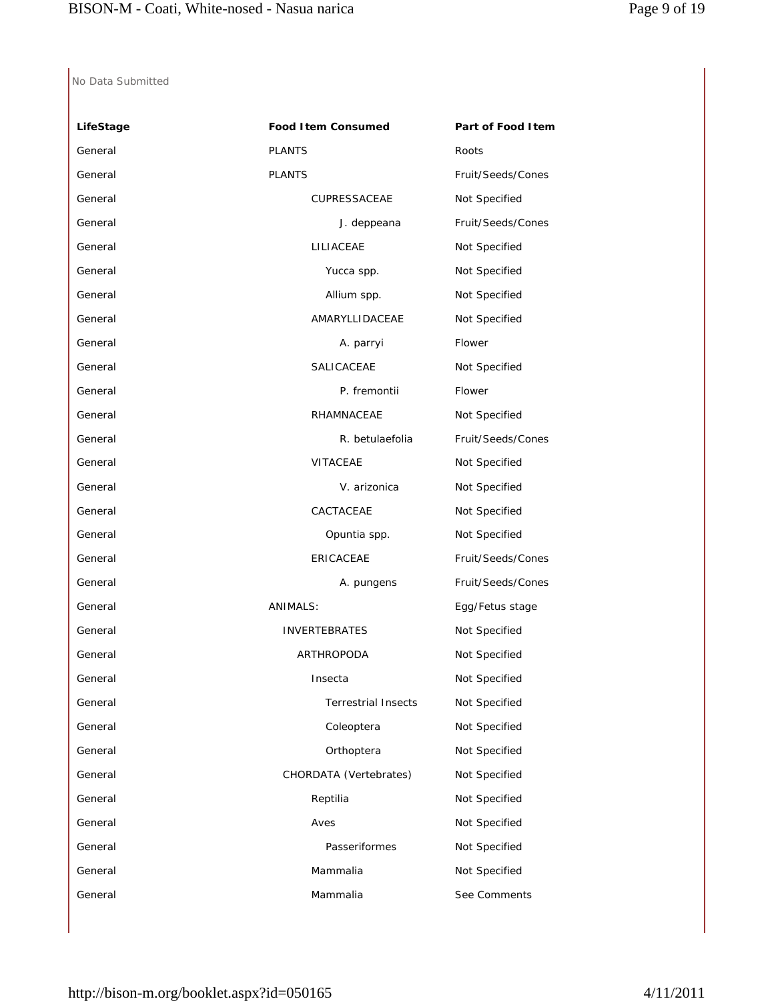| LifeStage | <b>Food Item Consumed</b>  | Part of Food Item |
|-----------|----------------------------|-------------------|
| General   | <b>PLANTS</b>              | Roots             |
| General   | <b>PLANTS</b>              | Fruit/Seeds/Cones |
| General   | CUPRESSACEAE               | Not Specified     |
| General   | J. deppeana                | Fruit/Seeds/Cones |
| General   | LILIACEAE                  | Not Specified     |
| General   | Yucca spp.                 | Not Specified     |
| General   | Allium spp.                | Not Specified     |
| General   | AMARYLLIDACEAE             | Not Specified     |
| General   | A. parryi                  | Flower            |
| General   | SALICACEAE                 | Not Specified     |
| General   | P. fremontii               | Flower            |
| General   | RHAMNACEAE                 | Not Specified     |
| General   | R. betulaefolia            | Fruit/Seeds/Cones |
| General   | <b>VITACEAE</b>            | Not Specified     |
| General   | V. arizonica               | Not Specified     |
| General   | CACTACEAE                  | Not Specified     |
| General   | Opuntia spp.               | Not Specified     |
| General   | ERICACEAE                  | Fruit/Seeds/Cones |
| General   | A. pungens                 | Fruit/Seeds/Cones |
| General   | <b>ANIMALS:</b>            | Egg/Fetus stage   |
| General   | <b>INVERTEBRATES</b>       | Not Specified     |
| General   | ARTHROPODA                 | Not Specified     |
| General   | Insecta                    | Not Specified     |
| General   | <b>Terrestrial Insects</b> | Not Specified     |
| General   | Coleoptera                 | Not Specified     |
| General   | Orthoptera                 | Not Specified     |
| General   | CHORDATA (Vertebrates)     | Not Specified     |
| General   | Reptilia                   | Not Specified     |
| General   | Aves                       | Not Specified     |
| General   | Passeriformes              | Not Specified     |
| General   | Mammalia                   | Not Specified     |
| General   | Mammalia                   | See Comments      |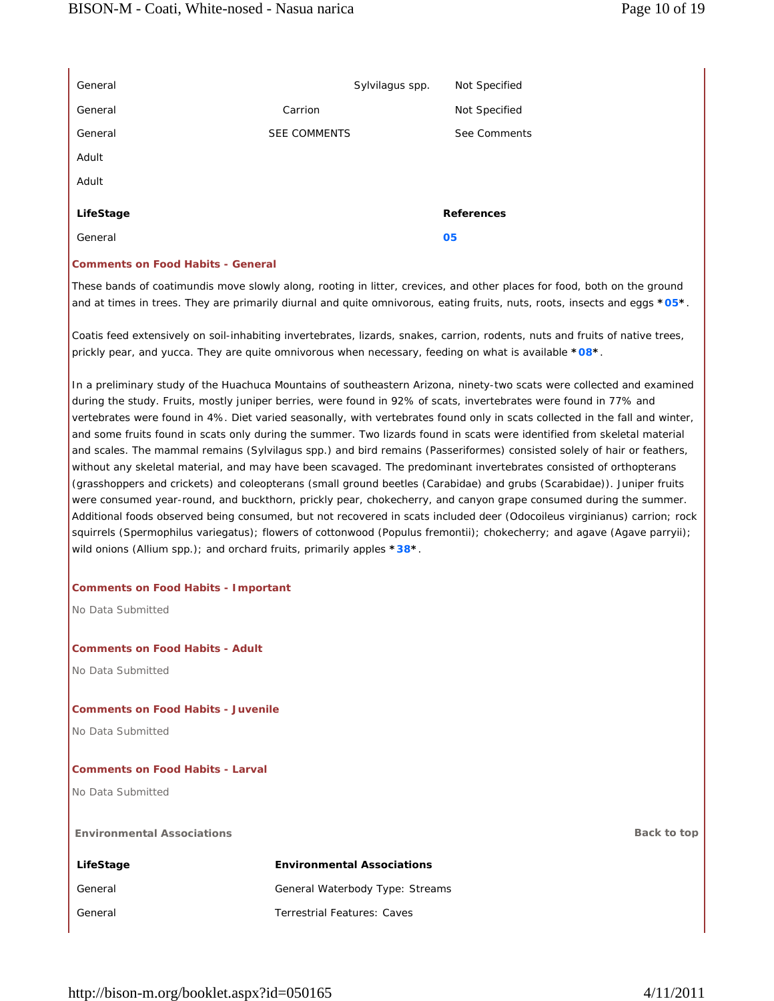| General   |                     | Sylvilagus spp. | Not Specified     |
|-----------|---------------------|-----------------|-------------------|
| General   | Carrion             |                 | Not Specified     |
| General   | <b>SEE COMMENTS</b> |                 | See Comments      |
| Adult     |                     |                 |                   |
| Adult     |                     |                 |                   |
| LifeStage |                     |                 | <b>References</b> |
| General   |                     |                 | 05                |

## **Comments on Food Habits - General**

These bands of coatimundis move slowly along, rooting in litter, crevices, and other places for food, both on the ground and at times in trees. They are primarily diurnal and quite omnivorous, eating fruits, nuts, roots, insects and eggs **\*05\***.

Coatis feed extensively on soil-inhabiting invertebrates, lizards, snakes, carrion, rodents, nuts and fruits of native trees, prickly pear, and yucca. They are quite omnivorous when necessary, feeding on what is available **\*08\***.

In a preliminary study of the Huachuca Mountains of southeastern Arizona, ninety-two scats were collected and examined during the study. Fruits, mostly juniper berries, were found in 92% of scats, invertebrates were found in 77% and vertebrates were found in 4%. Diet varied seasonally, with vertebrates found only in scats collected in the fall and winter, and some fruits found in scats only during the summer. Two lizards found in scats were identified from skeletal material and scales. The mammal remains (Sylvilagus spp.) and bird remains (Passeriformes) consisted solely of hair or feathers, without any skeletal material, and may have been scavaged. The predominant invertebrates consisted of orthopterans (grasshoppers and crickets) and coleopterans (small ground beetles (Carabidae) and grubs (Scarabidae)). Juniper fruits were consumed year-round, and buckthorn, prickly pear, chokecherry, and canyon grape consumed during the summer. Additional foods observed being consumed, but not recovered in scats included deer (Odocoileus virginianus) carrion; rock squirrels (Spermophilus variegatus); flowers of cottonwood (Populus fremontii); chokecherry; and agave (Agave parryii); wild onions (Allium spp.); and orchard fruits, primarily apples **\*38\***.

#### **Comments on Food Habits - Important**

No Data Submitted

### **Comments on Food Habits - Adult**

No Data Submitted

### **Comments on Food Habits - Juvenile**

No Data Submitted

#### **Comments on Food Habits - Larval**

No Data Submitted

**Environmental Associations Back to top** 

| LifeStage | <b>Environmental Associations</b>  |
|-----------|------------------------------------|
| General   | General Waterbody Type: Streams    |
| General   | <b>Terrestrial Features: Caves</b> |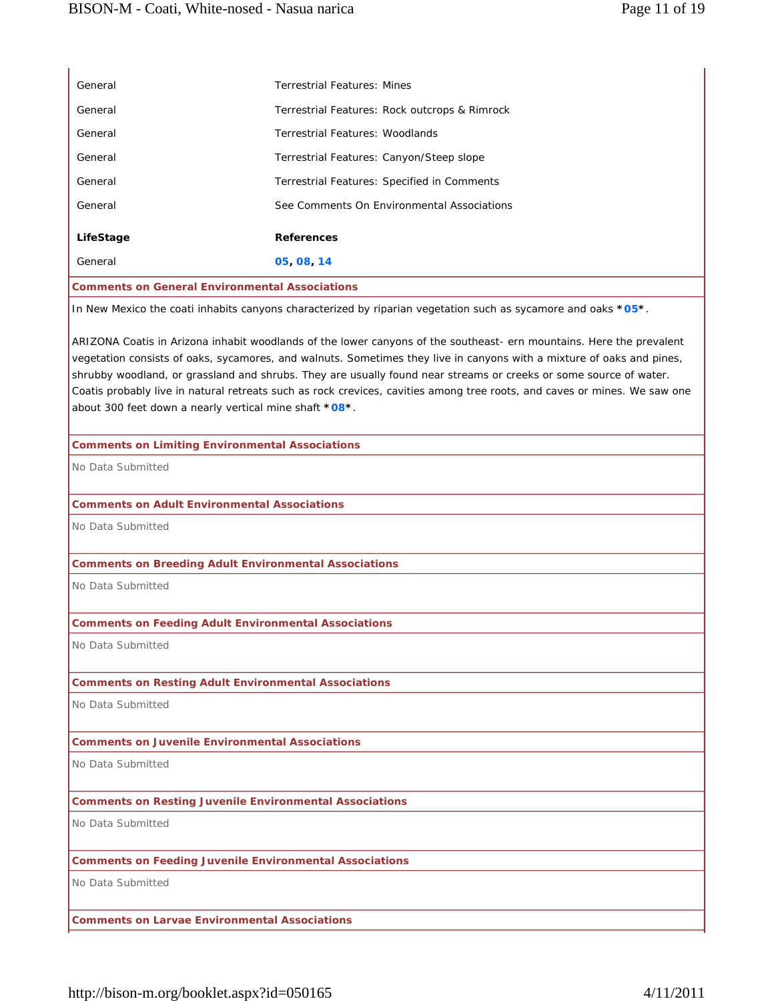| General                                                        | <b>Terrestrial Features: Mines</b>                                                                                                                                                                                                                                                                                                                                                                                                                                                              |
|----------------------------------------------------------------|-------------------------------------------------------------------------------------------------------------------------------------------------------------------------------------------------------------------------------------------------------------------------------------------------------------------------------------------------------------------------------------------------------------------------------------------------------------------------------------------------|
| General                                                        | Terrestrial Features: Rock outcrops & Rimrock                                                                                                                                                                                                                                                                                                                                                                                                                                                   |
| General                                                        | <b>Terrestrial Features: Woodlands</b>                                                                                                                                                                                                                                                                                                                                                                                                                                                          |
| General                                                        | Terrestrial Features: Canyon/Steep slope                                                                                                                                                                                                                                                                                                                                                                                                                                                        |
| General                                                        | Terrestrial Features: Specified in Comments                                                                                                                                                                                                                                                                                                                                                                                                                                                     |
| General                                                        | See Comments On Environmental Associations                                                                                                                                                                                                                                                                                                                                                                                                                                                      |
| LifeStage                                                      | <b>References</b>                                                                                                                                                                                                                                                                                                                                                                                                                                                                               |
| General                                                        | 05, 08, 14                                                                                                                                                                                                                                                                                                                                                                                                                                                                                      |
| <b>Comments on General Environmental Associations</b>          |                                                                                                                                                                                                                                                                                                                                                                                                                                                                                                 |
|                                                                | In New Mexico the coati inhabits canyons characterized by riparian vegetation such as sycamore and oaks *05*.                                                                                                                                                                                                                                                                                                                                                                                   |
| about 300 feet down a nearly vertical mine shaft *08*.         | ARIZONA Coatis in Arizona inhabit woodlands of the lower canyons of the southeast- ern mountains. Here the prevalent<br>vegetation consists of oaks, sycamores, and walnuts. Sometimes they live in canyons with a mixture of oaks and pines,<br>shrubby woodland, or grassland and shrubs. They are usually found near streams or creeks or some source of water.<br>Coatis probably live in natural retreats such as rock crevices, cavities among tree roots, and caves or mines. We saw one |
| <b>Comments on Limiting Environmental Associations</b>         |                                                                                                                                                                                                                                                                                                                                                                                                                                                                                                 |
| No Data Submitted                                              |                                                                                                                                                                                                                                                                                                                                                                                                                                                                                                 |
| <b>Comments on Adult Environmental Associations</b>            |                                                                                                                                                                                                                                                                                                                                                                                                                                                                                                 |
| No Data Submitted                                              |                                                                                                                                                                                                                                                                                                                                                                                                                                                                                                 |
| <b>Comments on Breeding Adult Environmental Associations</b>   |                                                                                                                                                                                                                                                                                                                                                                                                                                                                                                 |
| No Data Submitted                                              |                                                                                                                                                                                                                                                                                                                                                                                                                                                                                                 |
| <b>Comments on Feeding Adult Environmental Associations</b>    |                                                                                                                                                                                                                                                                                                                                                                                                                                                                                                 |
| No Data Submitted                                              |                                                                                                                                                                                                                                                                                                                                                                                                                                                                                                 |
| <b>Comments on Resting Adult Environmental Associations</b>    |                                                                                                                                                                                                                                                                                                                                                                                                                                                                                                 |
| No Data Submitted                                              |                                                                                                                                                                                                                                                                                                                                                                                                                                                                                                 |
| <b>Comments on Juvenile Environmental Associations</b>         |                                                                                                                                                                                                                                                                                                                                                                                                                                                                                                 |
| No Data Submitted                                              |                                                                                                                                                                                                                                                                                                                                                                                                                                                                                                 |
| <b>Comments on Resting Juvenile Environmental Associations</b> |                                                                                                                                                                                                                                                                                                                                                                                                                                                                                                 |
| No Data Submitted                                              |                                                                                                                                                                                                                                                                                                                                                                                                                                                                                                 |
| <b>Comments on Feeding Juvenile Environmental Associations</b> |                                                                                                                                                                                                                                                                                                                                                                                                                                                                                                 |
| No Data Submitted                                              |                                                                                                                                                                                                                                                                                                                                                                                                                                                                                                 |
| <b>Comments on Larvae Environmental Associations</b>           |                                                                                                                                                                                                                                                                                                                                                                                                                                                                                                 |
|                                                                |                                                                                                                                                                                                                                                                                                                                                                                                                                                                                                 |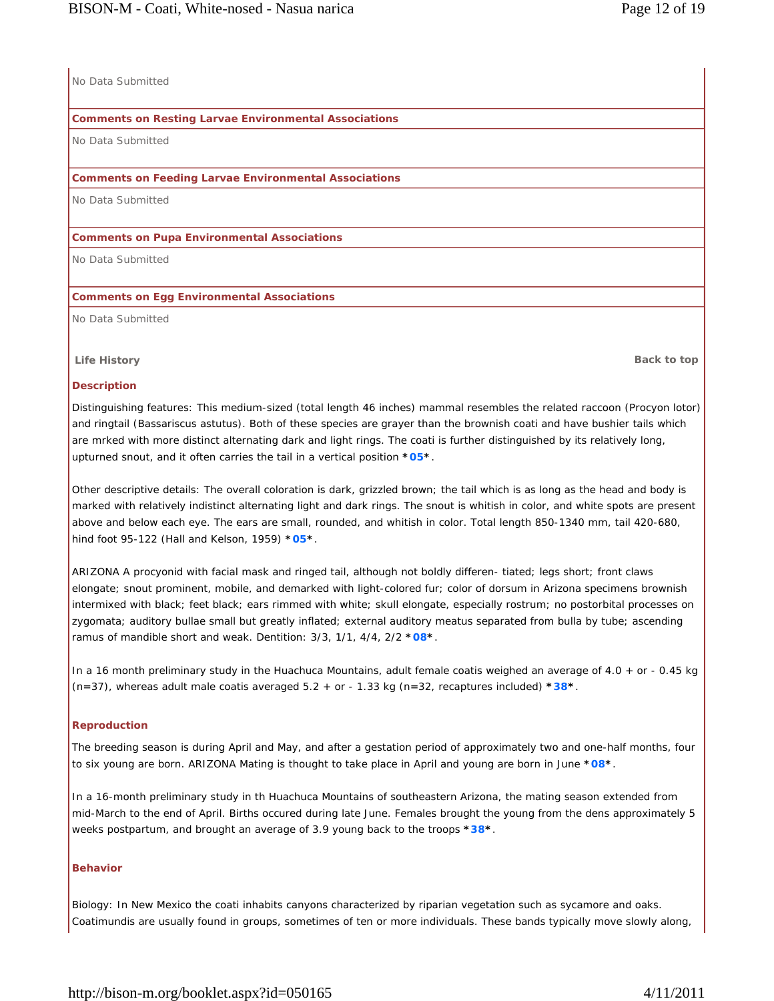# No Data Submitted

## **Comments on Resting Larvae Environmental Associations**

No Data Submitted

## **Comments on Feeding Larvae Environmental Associations**

No Data Submitted

### **Comments on Pupa Environmental Associations**

No Data Submitted

### **Comments on Egg Environmental Associations**

No Data Submitted

**Life History Back to top**

### **Description**

Distinguishing features: This medium-sized (total length 46 inches) mammal resembles the related raccoon (Procyon lotor) and ringtail (Bassariscus astutus). Both of these species are grayer than the brownish coati and have bushier tails which are mrked with more distinct alternating dark and light rings. The coati is further distinguished by its relatively long, upturned snout, and it often carries the tail in a vertical position **\*05\***.

Other descriptive details: The overall coloration is dark, grizzled brown; the tail which is as long as the head and body is marked with relatively indistinct alternating light and dark rings. The snout is whitish in color, and white spots are present above and below each eye. The ears are small, rounded, and whitish in color. Total length 850-1340 mm, tail 420-680, hind foot 95-122 (Hall and Kelson, 1959) **\*05\***.

ARIZONA A procyonid with facial mask and ringed tail, although not boldly differen- tiated; legs short; front claws elongate; snout prominent, mobile, and demarked with light-colored fur; color of dorsum in Arizona specimens brownish intermixed with black; feet black; ears rimmed with white; skull elongate, especially rostrum; no postorbital processes on zygomata; auditory bullae small but greatly inflated; external auditory meatus separated from bulla by tube; ascending ramus of mandible short and weak. Dentition: 3/3, 1/1, 4/4, 2/2 **\*08\***.

In a 16 month preliminary study in the Huachuca Mountains, adult female coatis weighed an average of 4.0 + or - 0.45 kg (n=37), whereas adult male coatis averaged 5.2 + or - 1.33 kg (n=32, recaptures included) **\*38\***.

## **Reproduction**

The breeding season is during April and May, and after a gestation period of approximately two and one-half months, four to six young are born. ARIZONA Mating is thought to take place in April and young are born in June **\*08\***.

In a 16-month preliminary study in th Huachuca Mountains of southeastern Arizona, the mating season extended from mid-March to the end of April. Births occured during late June. Females brought the young from the dens approximately 5 weeks postpartum, and brought an average of 3.9 young back to the troops **\*38\***.

## **Behavior**

Biology: In New Mexico the coati inhabits canyons characterized by riparian vegetation such as sycamore and oaks. Coatimundis are usually found in groups, sometimes of ten or more individuals. These bands typically move slowly along,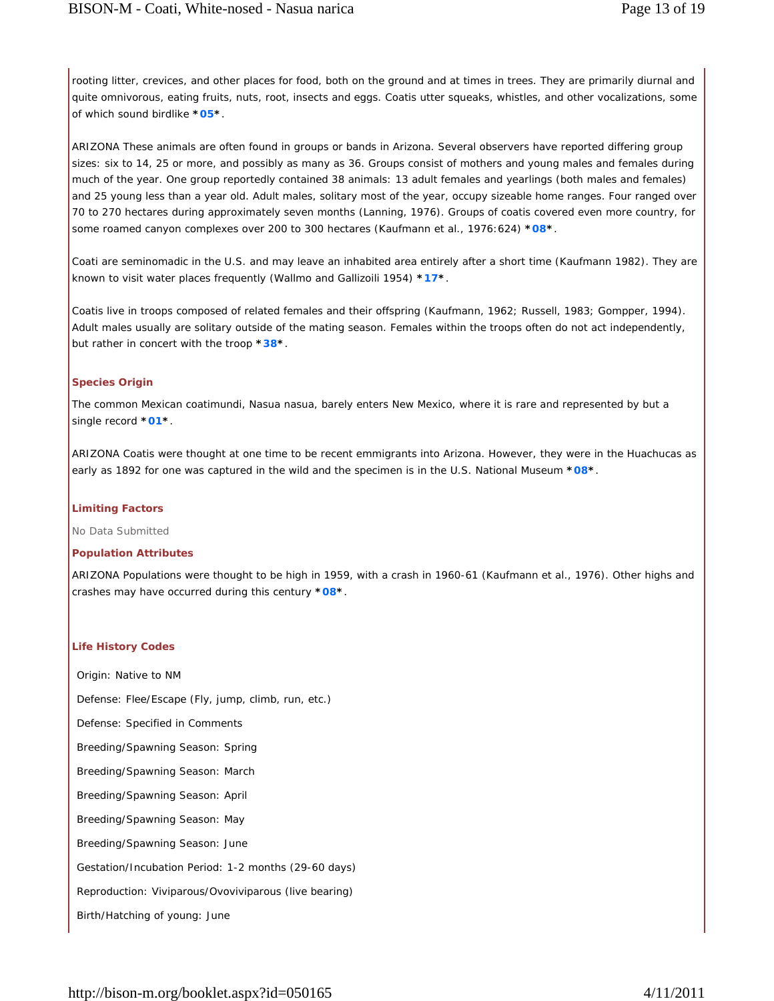rooting litter, crevices, and other places for food, both on the ground and at times in trees. They are primarily diurnal and quite omnivorous, eating fruits, nuts, root, insects and eggs. Coatis utter squeaks, whistles, and other vocalizations, some of which sound birdlike **\*05\***.

ARIZONA These animals are often found in groups or bands in Arizona. Several observers have reported differing group sizes: six to 14, 25 or more, and possibly as many as 36. Groups consist of mothers and young males and females during much of the year. One group reportedly contained 38 animals: 13 adult females and yearlings (both males and females) and 25 young less than a year old. Adult males, solitary most of the year, occupy sizeable home ranges. Four ranged over 70 to 270 hectares during approximately seven months (Lanning, 1976). Groups of coatis covered even more country, for some roamed canyon complexes over 200 to 300 hectares (Kaufmann et al., 1976:624) **\*08\***.

Coati are seminomadic in the U.S. and may leave an inhabited area entirely after a short time (Kaufmann 1982). They are known to visit water places frequently (Wallmo and Gallizoili 1954) **\*17\***.

Coatis live in troops composed of related females and their offspring (Kaufmann, 1962; Russell, 1983; Gompper, 1994). Adult males usually are solitary outside of the mating season. Females within the troops often do not act independently, but rather in concert with the troop **\*38\***.

#### **Species Origin**

The common Mexican coatimundi, Nasua nasua, barely enters New Mexico, where it is rare and represented by but a single record **\*01\***.

ARIZONA Coatis were thought at one time to be recent emmigrants into Arizona. However, they were in the Huachucas as early as 1892 for one was captured in the wild and the specimen is in the U.S. National Museum **\*08\***.

#### **Limiting Factors**

No Data Submitted

#### **Population Attributes**

ARIZONA Populations were thought to be high in 1959, with a crash in 1960-61 (Kaufmann et al., 1976). Other highs and crashes may have occurred during this century **\*08\***.

#### **Life History Codes**

Origin: Native to NM Defense: Flee/Escape (Fly, jump, climb, run, etc.) Defense: Specified in Comments Breeding/Spawning Season: Spring Breeding/Spawning Season: March Breeding/Spawning Season: April Breeding/Spawning Season: May Breeding/Spawning Season: June Gestation/Incubation Period: 1-2 months (29-60 days) Reproduction: Viviparous/Ovoviviparous (live bearing) Birth/Hatching of young: June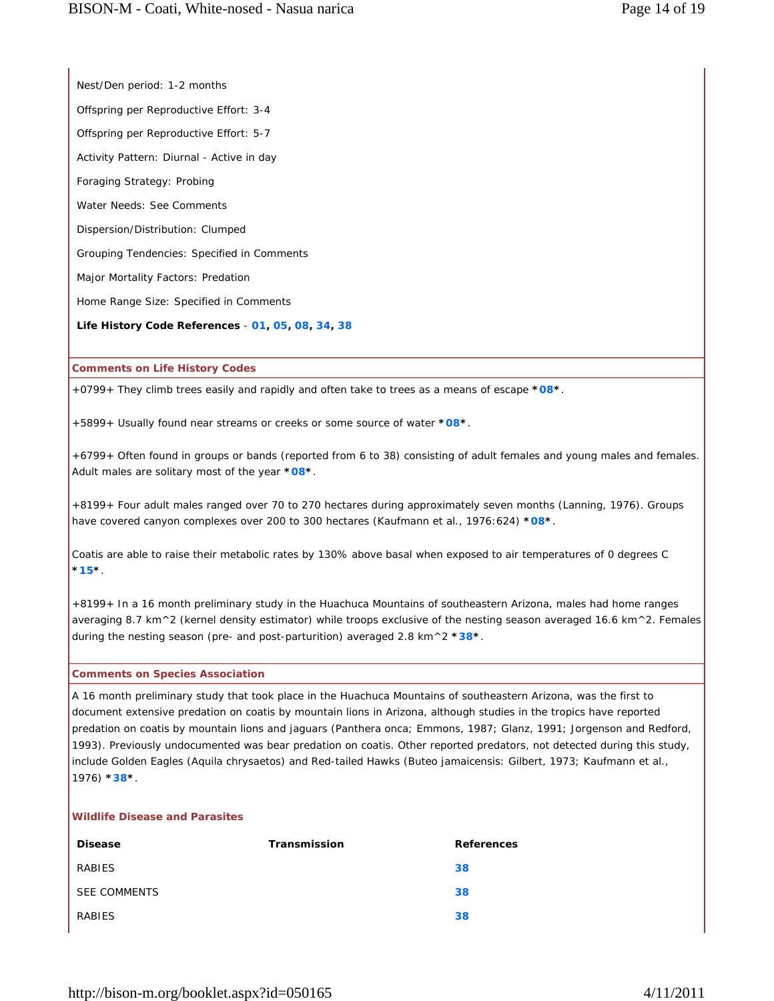Nest/Den period: 1-2 months

Offspring per Reproductive Effort: 3-4

Offspring per Reproductive Effort: 5-7

Activity Pattern: Diurnal - Active in day

Foraging Strategy: Probing

Water Needs: See Comments

Dispersion/Distribution: Clumped

Grouping Tendencies: Specified in Comments

Major Mortality Factors: Predation

Home Range Size: Specified in Comments

**Life History Code References** - **01, 05, 08, 34, 38**

**Comments on Life History Codes**

+0799+ They climb trees easily and rapidly and often take to trees as a means of escape **\*08\***.

+5899+ Usually found near streams or creeks or some source of water **\*08\***.

+6799+ Often found in groups or bands (reported from 6 to 38) consisting of adult females and young males and females. Adult males are solitary most of the year **\*08\***.

+8199+ Four adult males ranged over 70 to 270 hectares during approximately seven months (Lanning, 1976). Groups have covered canyon complexes over 200 to 300 hectares (Kaufmann et al., 1976:624) **\*08\***.

Coatis are able to raise their metabolic rates by 130% above basal when exposed to air temperatures of 0 degrees C **\*15\***.

+8199+ In a 16 month preliminary study in the Huachuca Mountains of southeastern Arizona, males had home ranges averaging 8.7 km^2 (kernel density estimator) while troops exclusive of the nesting season averaged 16.6 km^2. Females during the nesting season (pre- and post-parturition) averaged 2.8 km^2 **\*38\***.

# **Comments on Species Association**

A 16 month preliminary study that took place in the Huachuca Mountains of southeastern Arizona, was the first to document extensive predation on coatis by mountain lions in Arizona, although studies in the tropics have reported predation on coatis by mountain lions and jaguars (Panthera onca; Emmons, 1987; Glanz, 1991; Jorgenson and Redford, 1993). Previously undocumented was bear predation on coatis. Other reported predators, not detected during this study, include Golden Eagles (Aquila chrysaetos) and Red-tailed Hawks (Buteo jamaicensis: Gilbert, 1973; Kaufmann et al., 1976) **\*38\***.

# **Wildlife Disease and Parasites**

| <b>Disease</b>      | Transmission | <b>References</b> |
|---------------------|--------------|-------------------|
| RABIES              |              | 38                |
| <b>SEE COMMENTS</b> |              | 38                |
| RABIES              |              | 38                |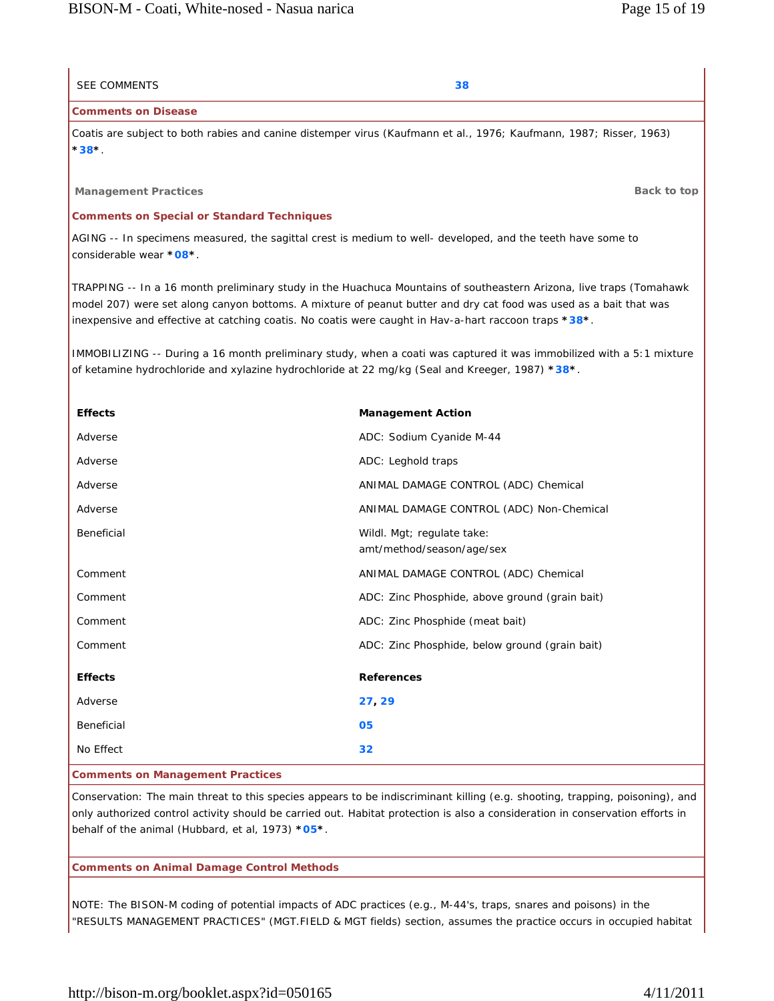| <b>SEE COMMENTS</b>                                                                                                                                                                                                     | 38                                                                                                                                                                                                                                       |  |
|-------------------------------------------------------------------------------------------------------------------------------------------------------------------------------------------------------------------------|------------------------------------------------------------------------------------------------------------------------------------------------------------------------------------------------------------------------------------------|--|
| <b>Comments on Disease</b>                                                                                                                                                                                              |                                                                                                                                                                                                                                          |  |
| Coatis are subject to both rabies and canine distemper virus (Kaufmann et al., 1976; Kaufmann, 1987; Risser, 1963)<br>$38^*$                                                                                            |                                                                                                                                                                                                                                          |  |
| <b>Management Practices</b>                                                                                                                                                                                             | Back to top                                                                                                                                                                                                                              |  |
| <b>Comments on Special or Standard Techniques</b>                                                                                                                                                                       |                                                                                                                                                                                                                                          |  |
| considerable wear *08*.                                                                                                                                                                                                 | AGING -- In specimens measured, the sagittal crest is medium to well- developed, and the teeth have some to                                                                                                                              |  |
| inexpensive and effective at catching coatis. No coatis were caught in Hav-a-hart raccoon traps *38*.                                                                                                                   | TRAPPING -- In a 16 month preliminary study in the Huachuca Mountains of southeastern Arizona, live traps (Tomahawk<br>model 207) were set along canyon bottoms. A mixture of peanut butter and dry cat food was used as a bait that was |  |
| IMMOBILIZING -- During a 16 month preliminary study, when a coati was captured it was immobilized with a 5:1 mixture<br>of ketamine hydrochloride and xylazine hydrochloride at 22 mg/kg (Seal and Kreeger, 1987) *38*. |                                                                                                                                                                                                                                          |  |
| <b>Effects</b>                                                                                                                                                                                                          | <b>Management Action</b>                                                                                                                                                                                                                 |  |
| Adverse                                                                                                                                                                                                                 | ADC: Sodium Cyanide M-44                                                                                                                                                                                                                 |  |
| Adverse                                                                                                                                                                                                                 | ADC: Leghold traps                                                                                                                                                                                                                       |  |
| Adverse                                                                                                                                                                                                                 | ANIMAL DAMAGE CONTROL (ADC) Chemical                                                                                                                                                                                                     |  |
| Adverse                                                                                                                                                                                                                 | ANIMAL DAMAGE CONTROL (ADC) Non-Chemical                                                                                                                                                                                                 |  |
| Beneficial                                                                                                                                                                                                              | Wildl. Mgt; regulate take:<br>amt/method/season/age/sex                                                                                                                                                                                  |  |
| Comment                                                                                                                                                                                                                 | ANIMAL DAMAGE CONTROL (ADC) Chemical                                                                                                                                                                                                     |  |
| Comment                                                                                                                                                                                                                 | ADC: Zinc Phosphide, above ground (grain bait)                                                                                                                                                                                           |  |
| Comment                                                                                                                                                                                                                 | ADC: Zinc Phosphide (meat bait)                                                                                                                                                                                                          |  |
| Comment                                                                                                                                                                                                                 | ADC: Zinc Phosphide, below ground (grain bait)                                                                                                                                                                                           |  |
| <b>Effects</b>                                                                                                                                                                                                          | <b>References</b>                                                                                                                                                                                                                        |  |
| Adverse                                                                                                                                                                                                                 | 27, 29                                                                                                                                                                                                                                   |  |
| Beneficial                                                                                                                                                                                                              | 05                                                                                                                                                                                                                                       |  |
| No Effect                                                                                                                                                                                                               | 32                                                                                                                                                                                                                                       |  |
| nte on Managamant Dracticae                                                                                                                                                                                             |                                                                                                                                                                                                                                          |  |

**Comments on Management Practices**

Conservation: The main threat to this species appears to be indiscriminant killing (e.g. shooting, trapping, poisoning), and only authorized control activity should be carried out. Habitat protection is also a consideration in conservation efforts in behalf of the animal (Hubbard, et al, 1973) **\*05\***.

## **Comments on Animal Damage Control Methods**

NOTE: The BISON-M coding of potential impacts of ADC practices (e.g., M-44's, traps, snares and poisons) in the "RESULTS MANAGEMENT PRACTICES" (MGT.FIELD & MGT fields) section, assumes the practice occurs in occupied habitat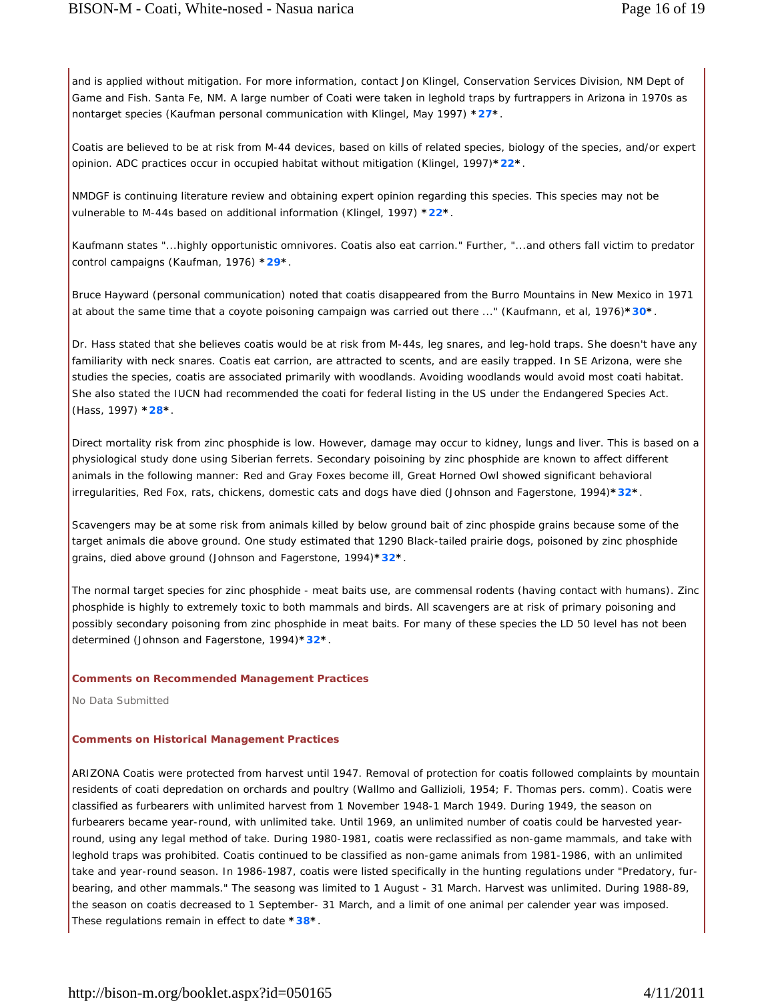and is applied without mitigation. For more information, contact Jon Klingel, Conservation Services Division, NM Dept of Game and Fish. Santa Fe, NM. A large number of Coati were taken in leghold traps by furtrappers in Arizona in 1970s as nontarget species (Kaufman personal communication with Klingel, May 1997) **\*27\***.

Coatis are believed to be at risk from M-44 devices, based on kills of related species, biology of the species, and/or expert opinion. ADC practices occur in occupied habitat without mitigation (Klingel, 1997)**\*22\***.

NMDGF is continuing literature review and obtaining expert opinion regarding this species. This species may not be vulnerable to M-44s based on additional information (Klingel, 1997) **\*22\***.

Kaufmann states "...highly opportunistic omnivores. Coatis also eat carrion." Further, "...and others fall victim to predator control campaigns (Kaufman, 1976) **\*29\***.

Bruce Hayward (personal communication) noted that coatis disappeared from the Burro Mountains in New Mexico in 1971 at about the same time that a coyote poisoning campaign was carried out there ..." (Kaufmann, et al, 1976)**\*30\***.

Dr. Hass stated that she believes coatis would be at risk from M-44s, leg snares, and leg-hold traps. She doesn't have any familiarity with neck snares. Coatis eat carrion, are attracted to scents, and are easily trapped. In SE Arizona, were she studies the species, coatis are associated primarily with woodlands. Avoiding woodlands would avoid most coati habitat. She also stated the IUCN had recommended the coati for federal listing in the US under the Endangered Species Act. (Hass, 1997) **\*28\***.

Direct mortality risk from zinc phosphide is low. However, damage may occur to kidney, lungs and liver. This is based on a physiological study done using Siberian ferrets. Secondary poisoining by zinc phosphide are known to affect different animals in the following manner: Red and Gray Foxes become ill, Great Horned Owl showed significant behavioral irregularities, Red Fox, rats, chickens, domestic cats and dogs have died (Johnson and Fagerstone, 1994)**\*32\***.

Scavengers may be at some risk from animals killed by below ground bait of zinc phospide grains because some of the target animals die above ground. One study estimated that 1290 Black-tailed prairie dogs, poisoned by zinc phosphide grains, died above ground (Johnson and Fagerstone, 1994)**\*32\***.

The normal target species for zinc phosphide - meat baits use, are commensal rodents (having contact with humans). Zinc phosphide is highly to extremely toxic to both mammals and birds. All scavengers are at risk of primary poisoning and possibly secondary poisoning from zinc phosphide in meat baits. For many of these species the LD 50 level has not been determined (Johnson and Fagerstone, 1994)**\*32\***.

#### **Comments on Recommended Management Practices**

No Data Submitted

#### **Comments on Historical Management Practices**

ARIZONA Coatis were protected from harvest until 1947. Removal of protection for coatis followed complaints by mountain residents of coati depredation on orchards and poultry (Wallmo and Gallizioli, 1954; F. Thomas pers. comm). Coatis were classified as furbearers with unlimited harvest from 1 November 1948-1 March 1949. During 1949, the season on furbearers became year-round, with unlimited take. Until 1969, an unlimited number of coatis could be harvested yearround, using any legal method of take. During 1980-1981, coatis were reclassified as non-game mammals, and take with leghold traps was prohibited. Coatis continued to be classified as non-game animals from 1981-1986, with an unlimited take and year-round season. In 1986-1987, coatis were listed specifically in the hunting regulations under "Predatory, furbearing, and other mammals." The seasong was limited to 1 August - 31 March. Harvest was unlimited. During 1988-89, the season on coatis decreased to 1 September- 31 March, and a limit of one animal per calender year was imposed. These regulations remain in effect to date **\*38\***.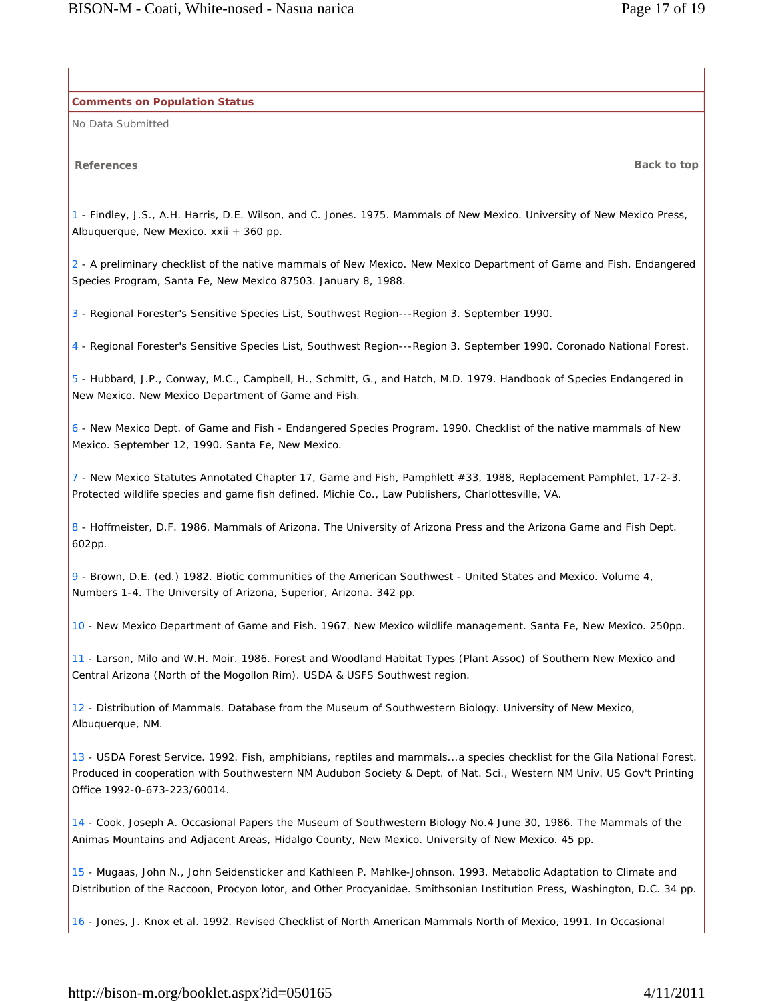**Comments on Population Status**

No Data Submitted

**References Back to top**

1 - Findley, J.S., A.H. Harris, D.E. Wilson, and C. Jones. 1975. Mammals of New Mexico. University of New Mexico Press, Albuquerque, New Mexico. xxii + 360 pp.

2 - A preliminary checklist of the native mammals of New Mexico. New Mexico Department of Game and Fish, Endangered Species Program, Santa Fe, New Mexico 87503. January 8, 1988.

3 - Regional Forester's Sensitive Species List, Southwest Region---Region 3. September 1990.

4 - Regional Forester's Sensitive Species List, Southwest Region---Region 3. September 1990. Coronado National Forest.

5 - Hubbard, J.P., Conway, M.C., Campbell, H., Schmitt, G., and Hatch, M.D. 1979. Handbook of Species Endangered in New Mexico. New Mexico Department of Game and Fish.

6 - New Mexico Dept. of Game and Fish - Endangered Species Program. 1990. Checklist of the native mammals of New Mexico. September 12, 1990. Santa Fe, New Mexico.

7 - New Mexico Statutes Annotated Chapter 17, Game and Fish, Pamphlett #33, 1988, Replacement Pamphlet, 17-2-3. Protected wildlife species and game fish defined. Michie Co., Law Publishers, Charlottesville, VA.

8 - Hoffmeister, D.F. 1986. Mammals of Arizona. The University of Arizona Press and the Arizona Game and Fish Dept. 602pp.

9 - Brown, D.E. (ed.) 1982. Biotic communities of the American Southwest - United States and Mexico. Volume 4, Numbers 1-4. The University of Arizona, Superior, Arizona. 342 pp.

10 - New Mexico Department of Game and Fish. 1967. New Mexico wildlife management. Santa Fe, New Mexico. 250pp.

11 - Larson, Milo and W.H. Moir. 1986. Forest and Woodland Habitat Types (Plant Assoc) of Southern New Mexico and Central Arizona (North of the Mogollon Rim). USDA & USFS Southwest region.

12 - Distribution of Mammals. Database from the Museum of Southwestern Biology. University of New Mexico, Albuquerque, NM.

13 - USDA Forest Service. 1992. Fish, amphibians, reptiles and mammals...a species checklist for the Gila National Forest. Produced in cooperation with Southwestern NM Audubon Society & Dept. of Nat. Sci., Western NM Univ. US Gov't Printing Office 1992-0-673-223/60014.

14 - Cook, Joseph A. Occasional Papers the Museum of Southwestern Biology No.4 June 30, 1986. The Mammals of the Animas Mountains and Adjacent Areas, Hidalgo County, New Mexico. University of New Mexico. 45 pp.

15 - Mugaas, John N., John Seidensticker and Kathleen P. Mahlke-Johnson. 1993. Metabolic Adaptation to Climate and Distribution of the Raccoon, Procyon lotor, and Other Procyanidae. Smithsonian Institution Press, Washington, D.C. 34 pp.

16 - Jones, J. Knox et al. 1992. Revised Checklist of North American Mammals North of Mexico, 1991. In Occasional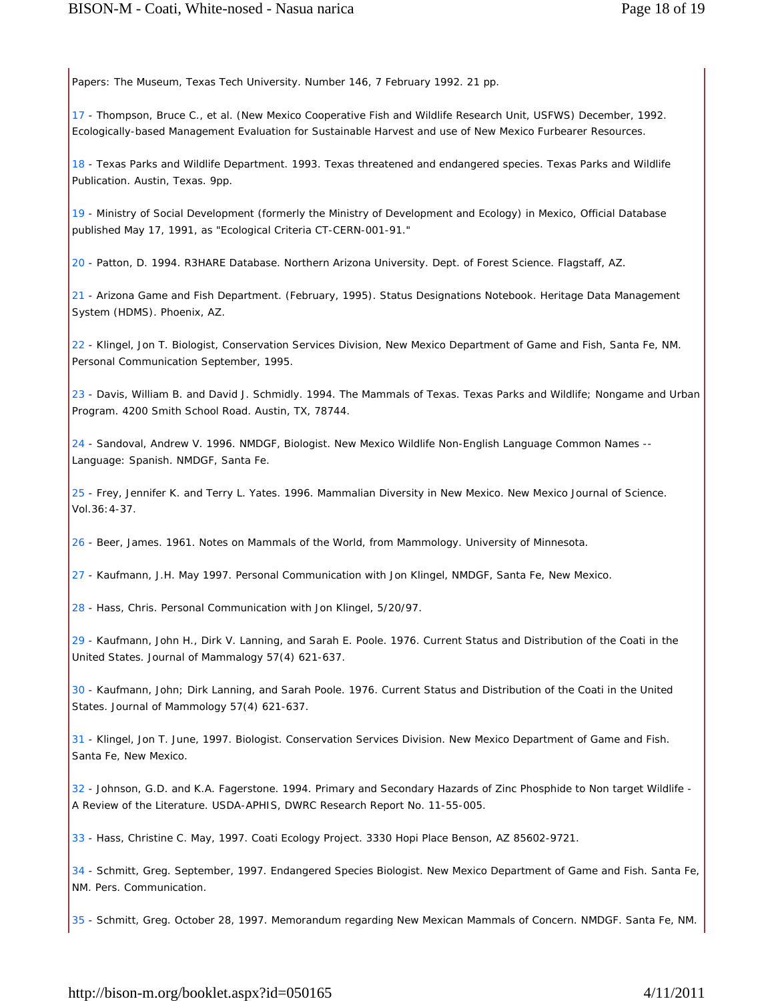Papers: The Museum, Texas Tech University. Number 146, 7 February 1992. 21 pp.

17 - Thompson, Bruce C., et al. (New Mexico Cooperative Fish and Wildlife Research Unit, USFWS) December, 1992. Ecologically-based Management Evaluation for Sustainable Harvest and use of New Mexico Furbearer Resources.

18 - Texas Parks and Wildlife Department. 1993. Texas threatened and endangered species. Texas Parks and Wildlife Publication. Austin, Texas. 9pp.

19 - Ministry of Social Development (formerly the Ministry of Development and Ecology) in Mexico, Official Database published May 17, 1991, as "Ecological Criteria CT-CERN-001-91."

20 - Patton, D. 1994. R3HARE Database. Northern Arizona University. Dept. of Forest Science. Flagstaff, AZ.

21 - Arizona Game and Fish Department. (February, 1995). Status Designations Notebook. Heritage Data Management System (HDMS). Phoenix, AZ.

22 - Klingel, Jon T. Biologist, Conservation Services Division, New Mexico Department of Game and Fish, Santa Fe, NM. Personal Communication September, 1995.

23 - Davis, William B. and David J. Schmidly. 1994. The Mammals of Texas. Texas Parks and Wildlife; Nongame and Urban Program. 4200 Smith School Road. Austin, TX, 78744.

24 - Sandoval, Andrew V. 1996. NMDGF, Biologist. New Mexico Wildlife Non-English Language Common Names -- Language: Spanish. NMDGF, Santa Fe.

25 - Frey, Jennifer K. and Terry L. Yates. 1996. Mammalian Diversity in New Mexico. New Mexico Journal of Science. Vol.36:4-37.

26 - Beer, James. 1961. Notes on Mammals of the World, from Mammology. University of Minnesota.

27 - Kaufmann, J.H. May 1997. Personal Communication with Jon Klingel, NMDGF, Santa Fe, New Mexico.

28 - Hass, Chris. Personal Communication with Jon Klingel, 5/20/97.

29 - Kaufmann, John H., Dirk V. Lanning, and Sarah E. Poole. 1976. Current Status and Distribution of the Coati in the United States. Journal of Mammalogy 57(4) 621-637.

30 - Kaufmann, John; Dirk Lanning, and Sarah Poole. 1976. Current Status and Distribution of the Coati in the United States. Journal of Mammology 57(4) 621-637.

31 - Klingel, Jon T. June, 1997. Biologist. Conservation Services Division. New Mexico Department of Game and Fish. Santa Fe, New Mexico.

32 - Johnson, G.D. and K.A. Fagerstone. 1994. Primary and Secondary Hazards of Zinc Phosphide to Non target Wildlife - A Review of the Literature. USDA-APHIS, DWRC Research Report No. 11-55-005.

33 - Hass, Christine C. May, 1997. Coati Ecology Project. 3330 Hopi Place Benson, AZ 85602-9721.

34 - Schmitt, Greg. September, 1997. Endangered Species Biologist. New Mexico Department of Game and Fish. Santa Fe, NM. Pers. Communication.

35 - Schmitt, Greg. October 28, 1997. Memorandum regarding New Mexican Mammals of Concern. NMDGF. Santa Fe, NM.